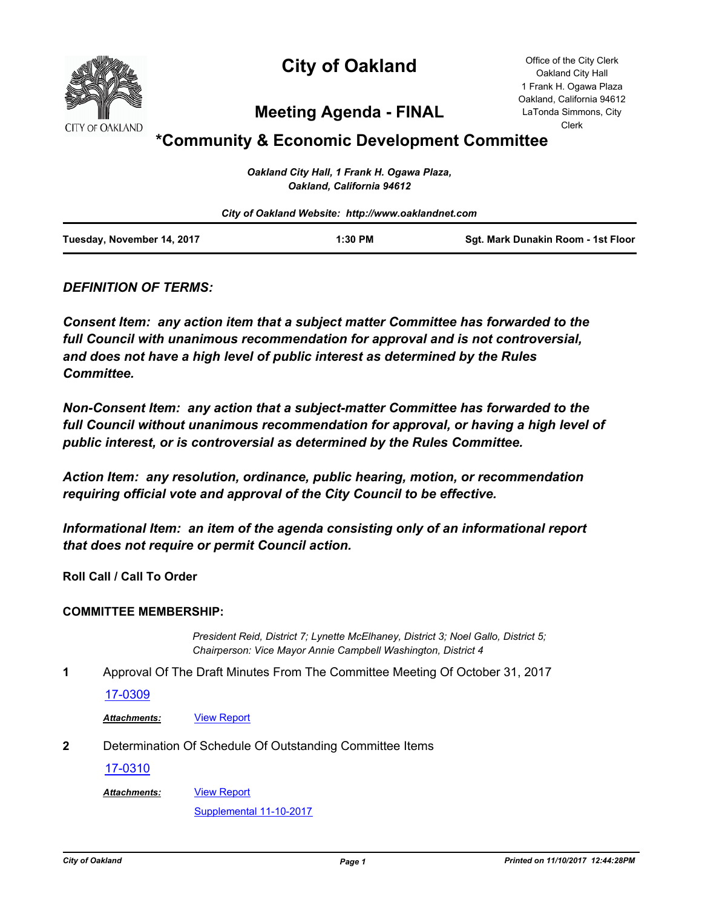

# **City of Oakland**

Office of the City Clerk Oakland City Hall 1 Frank H. Ogawa Plaza Oakland, California 94612 LaTonda Simmons, City Clerk

## **Meeting Agenda - FINAL**

## **\*Community & Economic Development Committee**

| Oakland City Hall, 1 Frank H. Ogawa Plaza, |
|--------------------------------------------|
| Oakland, California 94612                  |

|                            | City of Oakland Website: http://www.oaklandnet.com |                                    |  |
|----------------------------|----------------------------------------------------|------------------------------------|--|
| Tuesday, November 14, 2017 | $1:30$ PM                                          | Sgt. Mark Dunakin Room - 1st Floor |  |

## *DEFINITION OF TERMS:*

*Consent Item: any action item that a subject matter Committee has forwarded to the full Council with unanimous recommendation for approval and is not controversial, and does not have a high level of public interest as determined by the Rules Committee.*

*Non-Consent Item: any action that a subject-matter Committee has forwarded to the*  full Council without unanimous recommendation for approval, or having a high level of *public interest, or is controversial as determined by the Rules Committee.*

*Action Item: any resolution, ordinance, public hearing, motion, or recommendation requiring official vote and approval of the City Council to be effective.*

*Informational Item: an item of the agenda consisting only of an informational report that does not require or permit Council action.*

**Roll Call / Call To Order**

#### **COMMITTEE MEMBERSHIP:**

*President Reid, District 7; Lynette McElhaney, District 3; Noel Gallo, District 5; Chairperson: Vice Mayor Annie Campbell Washington, District 4*

**1** Approval Of The Draft Minutes From The Committee Meeting Of October 31, 2017

#### [17-0309](http://oakland.legistar.com/gateway.aspx?m=l&id=/matter.aspx?key=28256)

Attachments: **[View Report](http://oakland.legistar.com/gateway.aspx?M=F&ID=475e0c9f-ef2a-4a36-8f77-30a5b1b240f4.pdf)** 

**2** Determination Of Schedule Of Outstanding Committee Items

[17-0310](http://oakland.legistar.com/gateway.aspx?m=l&id=/matter.aspx?key=28257)

[View Report](http://oakland.legistar.com/gateway.aspx?M=F&ID=1e60872e-5cbb-4679-92ec-b9dafb3da0d9.pdf) *Attachments:*

[Supplemental 11-10-2017](http://oakland.legistar.com/gateway.aspx?M=F&ID=937f79e9-2ab8-4d53-80c6-eca012fe8898.pdf)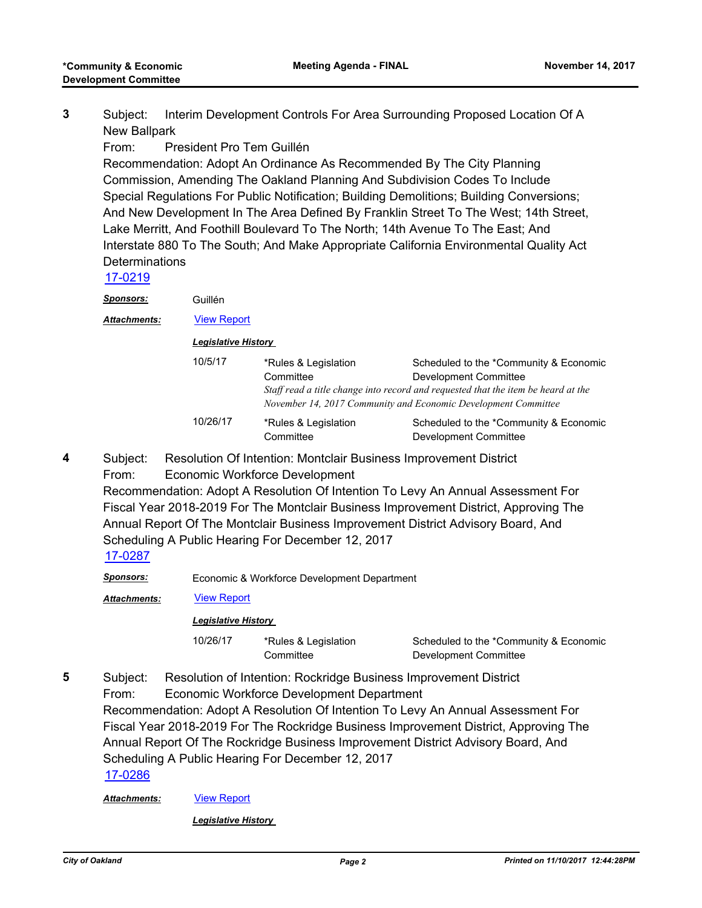Subject: Interim Development Controls For Area Surrounding Proposed Location Of A New Ballpark **3**

From: President Pro Tem Guillén

Recommendation: Adopt An Ordinance As Recommended By The City Planning Commission, Amending The Oakland Planning And Subdivision Codes To Include Special Regulations For Public Notification; Building Demolitions; Building Conversions; And New Development In The Area Defined By Franklin Street To The West; 14th Street, Lake Merritt, And Foothill Boulevard To The North; 14th Avenue To The East; And Interstate 880 To The South; And Make Appropriate California Environmental Quality Act **Determinations** 

[17-0219](http://oakland.legistar.com/gateway.aspx?m=l&id=/matter.aspx?key=28167)

*Sponsors:* Guillén

*Attachments:* [View Report](http://oakland.legistar.com/gateway.aspx?M=F&ID=1de4dfd8-8182-4ce9-a534-f9b8fa20673b.pdf)

*Legislative History* 

| 10/5/17  | *Rules & Legislation<br>Committee | Scheduled to the *Community & Economic<br>Development Committee<br>Staff read a title change into record and requested that the item be heard at the<br>November 14, 2017 Community and Economic Development Committee |
|----------|-----------------------------------|------------------------------------------------------------------------------------------------------------------------------------------------------------------------------------------------------------------------|
| 10/26/17 | *Rules & Legislation<br>Committee | Scheduled to the *Community & Economic<br>Development Committee                                                                                                                                                        |

- Subject: Resolution Of Intention: Montclair Business Improvement District **4**
	- From: Economic Workforce Development Recommendation: Adopt A Resolution Of Intention To Levy An Annual Assessment For Fiscal Year 2018-2019 For The Montclair Business Improvement District, Approving The Annual Report Of The Montclair Business Improvement District Advisory Board, And Scheduling A Public Hearing For December 12, 2017

## [17-0287](http://oakland.legistar.com/gateway.aspx?m=l&id=/matter.aspx?key=28235)

*Sponsors:* Economic & Workforce Development Department

*Attachments:* [View Report](http://oakland.legistar.com/gateway.aspx?M=F&ID=09d95415-e8f3-4e3d-bec7-6a4dac8b188a.pdf)

*Legislative History* 

10/26/17 \*Rules & Legislation **Committee** 

Scheduled to the \*Community & Economic Development Committee

Subject: Resolution of Intention: Rockridge Business Improvement District **5**

From: Economic Workforce Development Department Recommendation: Adopt A Resolution Of Intention To Levy An Annual Assessment For Fiscal Year 2018-2019 For The Rockridge Business Improvement District, Approving The Annual Report Of The Rockridge Business Improvement District Advisory Board, And Scheduling A Public Hearing For December 12, 2017 [17-0286](http://oakland.legistar.com/gateway.aspx?m=l&id=/matter.aspx?key=28234)

*Attachments:* [View Report](http://oakland.legistar.com/gateway.aspx?M=F&ID=72161a89-38ba-4175-a040-d5d8e8e76e7d.pdf)

*Legislative History*